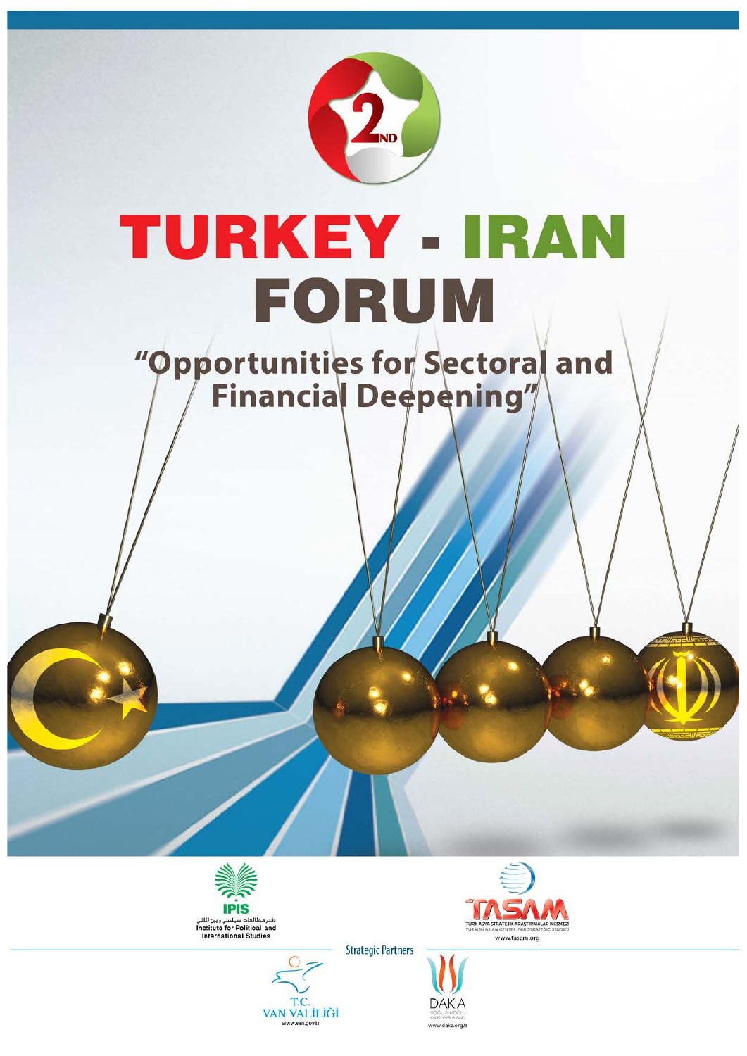

## TURKEY - IRAN FORUM

# 





**Strategic Partners** 



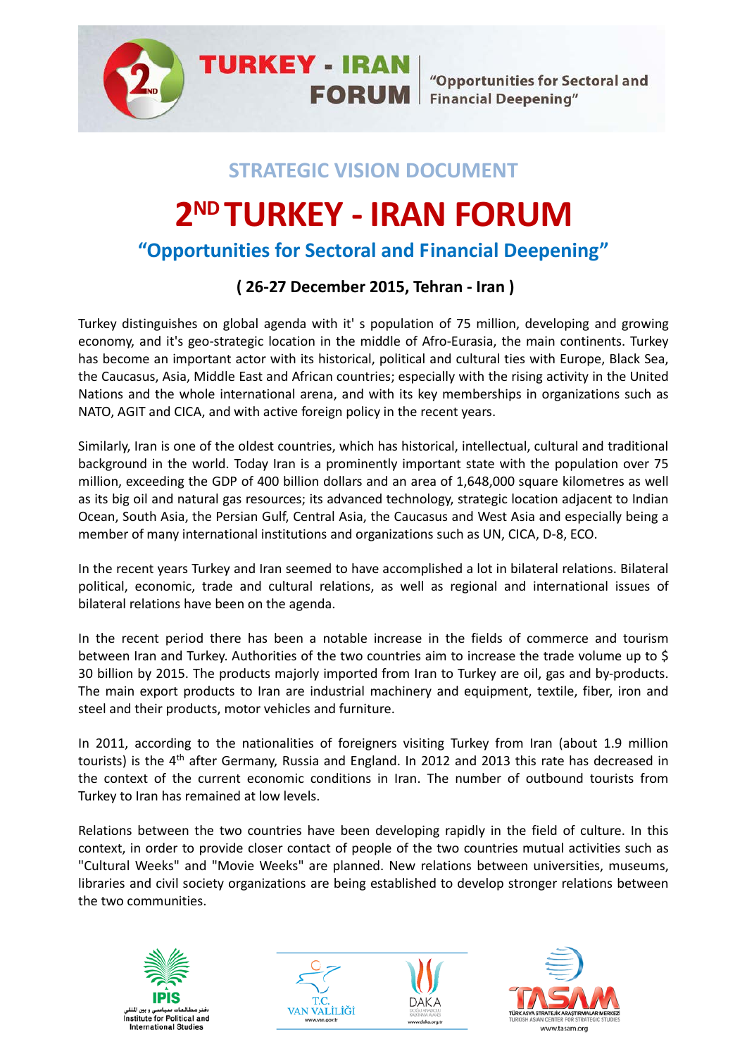**TURKEY - IRAN** "Opportunities for Sectoral and **FORUM** Financial Deepening"

#### **STRATEGIC VISION DOCUMENT**

### **2ND TURKEY - IRAN FORUM**

#### **"Opportunities for Sectoral and Financial Deepening"**

#### **( 26-27 December 2015, Tehran - Iran )**

Turkey distinguishes on global agenda with it' s population of 75 million, developing and growing economy, and it's geo-strategic location in the middle of Afro-Eurasia, the main continents. Turkey has become an important actor with its historical, political and cultural ties with Europe, Black Sea, the Caucasus, Asia, Middle East and African countries; especially with the rising activity in the United Nations and the whole international arena, and with its key memberships in organizations such as NATO, AGIT and CICA, and with active foreign policy in the recent years.

Similarly, Iran is one of the oldest countries, which has historical, intellectual, cultural and traditional background in the world. Today Iran is a prominently important state with the population over 75 million, exceeding the GDP of 400 billion dollars and an area of 1,648,000 square kilometres as well as its big oil and natural gas resources; its advanced technology, strategic location adjacent to Indian Ocean, South Asia, the Persian Gulf, Central Asia, the Caucasus and West Asia and especially being a member of many international institutions and organizations such as UN, CICA, D-8, ECO.

In the recent years Turkey and Iran seemed to have accomplished a lot in bilateral relations. Bilateral political, economic, trade and cultural relations, as well as regional and international issues of bilateral relations have been on the agenda.

In the recent period there has been a notable increase in the fields of commerce and tourism between Iran and Turkey. Authorities of the two countries aim to increase the trade volume up to \$ 30 billion by 2015. The products majorly imported from Iran to Turkey are oil, gas and by-products. The main export products to Iran are industrial machinery and equipment, textile, fiber, iron and steel and their products, motor vehicles and furniture.

In 2011, according to the nationalities of foreigners visiting Turkey from Iran (about 1.9 million tourists) is the 4<sup>th</sup> after Germany, Russia and England. In 2012 and 2013 this rate has decreased in the context of the current economic conditions in Iran. The number of outbound tourists from Turkey to Iran has remained at low levels.

Relations between the two countries have been developing rapidly in the field of culture. In this context, in order to provide closer contact of people of the two countries mutual activities such as "Cultural Weeks" and "Movie Weeks" are planned. New relations between universities, museums, libraries and civil society organizations are being established to develop stronger relations between the two communities.







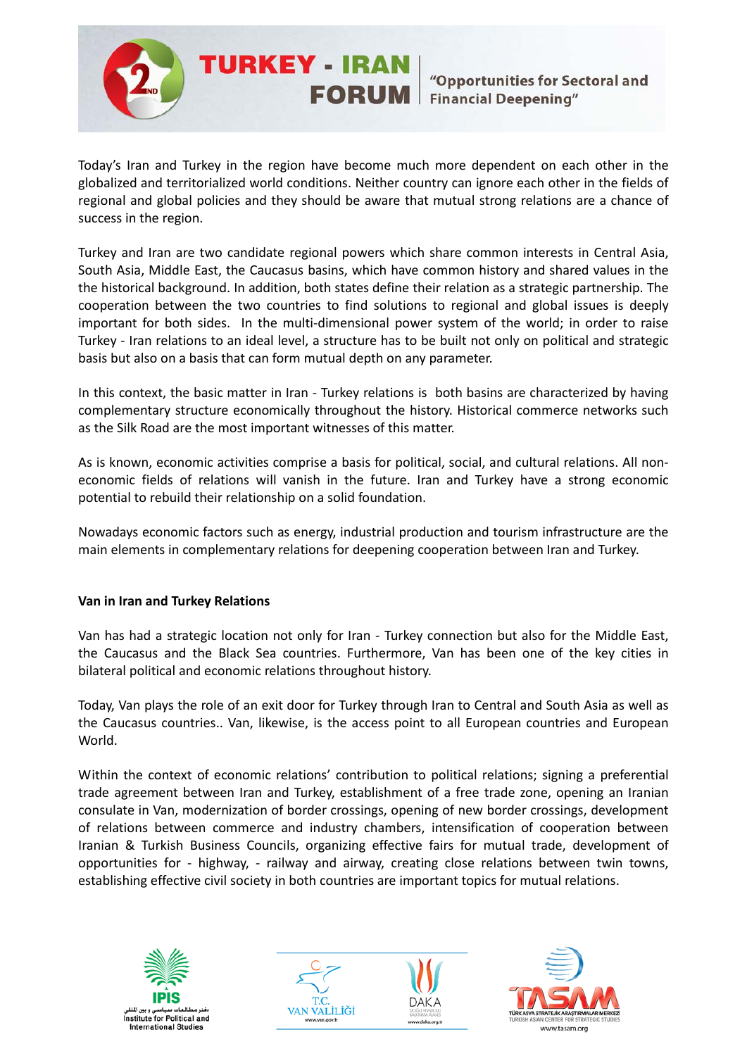

Today's Iran and Turkey in the region have become much more dependent on each other in the globalized and territorialized world conditions. Neither country can ignore each other in the fields of regional and global policies and they should be aware that mutual strong relations are a chance of success in the region.

**TURKEY - IRAN** 

Turkey and Iran are two candidate regional powers which share common interests in Central Asia, South Asia, Middle East, the Caucasus basins, which have common history and shared values in the the historical background. In addition, both states define their relation as a strategic partnership. The cooperation between the two countries to find solutions to regional and global issues is deeply important for both sides. In the multi-dimensional power system of the world; in order to raise Turkey - Iran relations to an ideal level, a structure has to be built not only on political and strategic basis but also on a basis that can form mutual depth on any parameter.

In this context, the basic matter in Iran - Turkey relations is both basins are characterized by having complementary structure economically throughout the history. Historical commerce networks such as the Silk Road are the most important witnesses of this matter.

As is known, economic activities comprise a basis for political, social, and cultural relations. All noneconomic fields of relations will vanish in the future. Iran and Turkey have a strong economic potential to rebuild their relationship on a solid foundation.

Nowadays economic factors such as energy, industrial production and tourism infrastructure are the main elements in complementary relations for deepening cooperation between Iran and Turkey.

#### **Van in Iran and Turkey Relations**

Van has had a strategic location not only for Iran - Turkey connection but also for the Middle East, the Caucasus and the Black Sea countries. Furthermore, Van has been one of the key cities in bilateral political and economic relations throughout history.

Today, Van plays the role of an exit door for Turkey through Iran to Central and South Asia as well as the Caucasus countries.. Van, likewise, is the access point to all European countries and European World.

Within the context of economic relations' contribution to political relations; signing a preferential trade agreement between Iran and Turkey, establishment of a free trade zone, opening an Iranian consulate in Van, modernization of border crossings, opening of new border crossings, development of relations between commerce and industry chambers, intensification of cooperation between Iranian & Turkish Business Councils, organizing effective fairs for mutual trade, development of opportunities for - highway, - railway and airway, creating close relations between twin towns, establishing effective civil society in both countries are important topics for mutual relations.